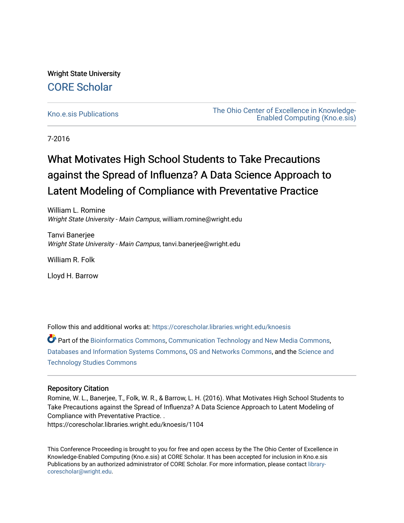Wright State University [CORE Scholar](https://corescholar.libraries.wright.edu/)

[Kno.e.sis Publications](https://corescholar.libraries.wright.edu/knoesis) [The Ohio Center of Excellence in Knowledge-](https://corescholar.libraries.wright.edu/knoesis_comm)[Enabled Computing \(Kno.e.sis\)](https://corescholar.libraries.wright.edu/knoesis_comm) 

7-2016

## What Motivates High School Students to Take Precautions against the Spread of Influenza? A Data Science Approach to Latent Modeling of Compliance with Preventative Practice

William L. Romine Wright State University - Main Campus, william.romine@wright.edu

Tanvi Banerjee Wright State University - Main Campus, tanvi.banerjee@wright.edu

William R. Folk

Lloyd H. Barrow

Follow this and additional works at: [https://corescholar.libraries.wright.edu/knoesis](https://corescholar.libraries.wright.edu/knoesis?utm_source=corescholar.libraries.wright.edu%2Fknoesis%2F1104&utm_medium=PDF&utm_campaign=PDFCoverPages) 

Part of the [Bioinformatics Commons,](http://network.bepress.com/hgg/discipline/110?utm_source=corescholar.libraries.wright.edu%2Fknoesis%2F1104&utm_medium=PDF&utm_campaign=PDFCoverPages) [Communication Technology and New Media Commons,](http://network.bepress.com/hgg/discipline/327?utm_source=corescholar.libraries.wright.edu%2Fknoesis%2F1104&utm_medium=PDF&utm_campaign=PDFCoverPages) [Databases and Information Systems Commons](http://network.bepress.com/hgg/discipline/145?utm_source=corescholar.libraries.wright.edu%2Fknoesis%2F1104&utm_medium=PDF&utm_campaign=PDFCoverPages), [OS and Networks Commons](http://network.bepress.com/hgg/discipline/149?utm_source=corescholar.libraries.wright.edu%2Fknoesis%2F1104&utm_medium=PDF&utm_campaign=PDFCoverPages), and the [Science and](http://network.bepress.com/hgg/discipline/435?utm_source=corescholar.libraries.wright.edu%2Fknoesis%2F1104&utm_medium=PDF&utm_campaign=PDFCoverPages) [Technology Studies Commons](http://network.bepress.com/hgg/discipline/435?utm_source=corescholar.libraries.wright.edu%2Fknoesis%2F1104&utm_medium=PDF&utm_campaign=PDFCoverPages) 

#### Repository Citation

Romine, W. L., Banerjee, T., Folk, W. R., & Barrow, L. H. (2016). What Motivates High School Students to Take Precautions against the Spread of Influenza? A Data Science Approach to Latent Modeling of Compliance with Preventative Practice. .

https://corescholar.libraries.wright.edu/knoesis/1104

This Conference Proceeding is brought to you for free and open access by the The Ohio Center of Excellence in Knowledge-Enabled Computing (Kno.e.sis) at CORE Scholar. It has been accepted for inclusion in Kno.e.sis Publications by an authorized administrator of CORE Scholar. For more information, please contact [library](mailto:library-corescholar@wright.edu)[corescholar@wright.edu](mailto:library-corescholar@wright.edu).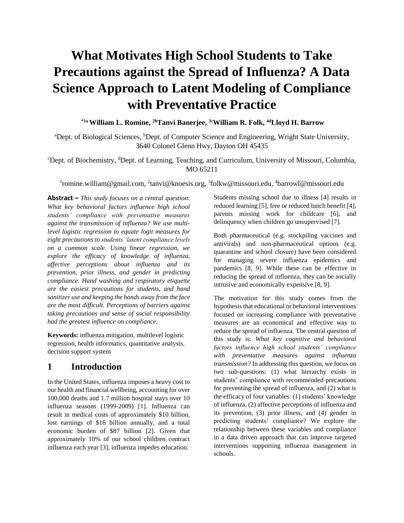# **What Motivates High School Students to Take Precautions against the Spread of Influenza? A Data Science Approach to Latent Modeling of Compliance with Preventative Practice**

**\*1a William L. Romine, 2bTanvi Banerjee, 3cWilliam R. Folk, 4dLloyd H. Barrow**

<sup>a</sup>Dept. of Biological Sciences, <sup>b</sup>Dept. of Computer Science and Engineering, Wright State University, 3640 Colonel Glenn Hwy, Dayton OH 45435

#### <sup>c</sup>Dept. of Biochemistry, <sup>d</sup>Dept. of Learning, Teaching, and Curriculum, University of Missouri, Columbia, MO 65211

<sup>1</sup>romine.william@gmail.com, <sup>2</sup>tanvi@knoesis.org, <sup>3</sup>folkw@missouri.edu, <sup>4</sup>barrowl@missouri.edu

**Abstract –** *This study focuses on a central question: What key behavioral factors influence high school students' compliance with preventative measures against the transmission of influenza? We use multilevel logistic regression to equate logit measures for eight precautions to students' latent compliance levels on a common scale. Using linear regression, we explore the efficacy of knowledge of influenza, affective perceptions about influenza and its prevention, prior illness, and gender in predicting compliance. Hand washing and respiratory etiquette are the easiest precautions for students, and hand sanitizer use and keeping the hands away from the face are the most difficult. Perceptions of barriers against taking precautions and sense of social responsibility had the greatest influence on compliance.*

**Keywords:** influenza mitigation, multilevel logistic regression, health informatics, quantitative analysis, decision support system

#### **1 Introduction**

In the United States, influenza imposes a heavy cost to our health and financial wellbeing, accounting for over 100,000 deaths and 1.7 million hospital stays over 10 influenza seasons (1999-2009) [1]. Influenza can result in medical costs of approximately \$10 billion, lost earnings of \$16 billion annually, and a total economic burden of \$87 billion [2]. Given that approximately 10% of our school children contract influenza each year [3], influenza impedes education.

Students missing school due to illness [4] results in reduced learning [5], free or reduced lunch benefit [4], parents missing work for childcare [6], and delinquency when children go unsupervised [7].

Both pharmaceutical (e.g. stockpiling vaccines and antivirals) and non-pharmaceutical options (e.g. quarantine and school closure) have been considered for managing severe influenza epidemics and pandemics [8, 9]. While these can be effective in reducing the spread of influenza, they can be socially intrusive and economically expensive [8, 9].

The motivation for this study comes from the hypothesis that educational or behavioral interventions focused on increasing compliance with preventative measures are an economical and effective way to reduce the spread of influenza. The central question of this study is: *What key cognitive and behavioral factors influence high school students' compliance with preventative measures against influenza transmission?* In addressing this question, we focus on two sub-questions: (1) what hierarchy exists in students' compliance with recommended precautions for preventing the spread of influenza, and (2) what is the efficacy of four variables: (1) students' knowledge of influenza, (2) affective perceptions of influenza and its prevention, (3) prior illness, and (4) gender in predicting students' compliance? We explore the relationship between these variables and compliance in a data driven approach that can improve targeted interventions supporting influenza management in schools.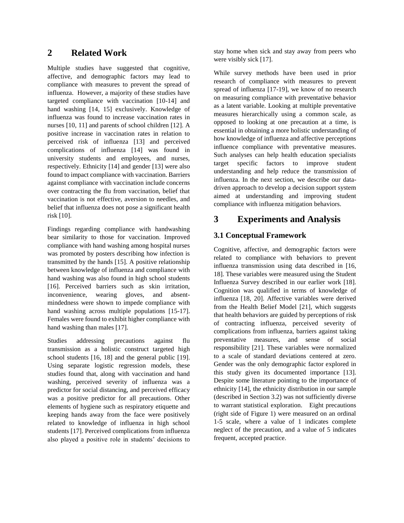## **2 Related Work**

Multiple studies have suggested that cognitive, affective, and demographic factors may lead to compliance with measures to prevent the spread of influenza. However, a majority of these studies have targeted compliance with vaccination [10-14] and hand washing [14, 15] exclusively. Knowledge of influenza was found to increase vaccination rates in nurses [10, 11] and parents of school children [12]. A positive increase in vaccination rates in relation to perceived risk of influenza [13] and perceived complications of influenza [14] was found in university students and employees, and nurses, respectively. Ethnicity [14] and gender [13] were also found to impact compliance with vaccination. Barriers against compliance with vaccination include concerns over contracting the flu from vaccination, belief that vaccination is not effective, aversion to needles, and belief that influenza does not pose a significant health risk [10].

Findings regarding compliance with handwashing bear similarity to those for vaccination. Improved compliance with hand washing among hospital nurses was promoted by posters describing how infection is transmitted by the hands [15]. A positive relationship between knowledge of influenza and compliance with hand washing was also found in high school students [16]. Perceived barriers such as skin irritation, inconvenience, wearing gloves, and absentmindedness were shown to impede compliance with hand washing across multiple populations [15-17]. Females were found to exhibit higher compliance with hand washing than males [17].

Studies addressing precautions against flu transmission as a holistic construct targeted high school students [16, 18] and the general public [19]. Using separate logistic regression models, these studies found that, along with vaccination and hand washing, perceived severity of influenza was a predictor for social distancing, and perceived efficacy was a positive predictor for all precautions. Other elements of hygiene such as respiratory etiquette and keeping hands away from the face were positively related to knowledge of influenza in high school students [17]. Perceived complications from influenza also played a positive role in students' decisions to stay home when sick and stay away from peers who were visibly sick [17].

While survey methods have been used in prior research of compliance with measures to prevent spread of influenza [17-19], we know of no research on measuring compliance with preventative behavior as a latent variable. Looking at multiple preventative measures hierarchically using a common scale, as opposed to looking at one precaution at a time, is essential in obtaining a more holistic understanding of how knowledge of influenza and affective perceptions influence compliance with preventative measures. Such analyses can help health education specialists target specific factors to improve student understanding and help reduce the transmission of influenza. In the next section, we describe our datadriven approach to develop a decision support system aimed at understanding and improving student compliance with influenza mitigation behaviors.

## **3 Experiments and Analysis**

## **3.1 Conceptual Framework**

Cognitive, affective, and demographic factors were related to compliance with behaviors to prevent influenza transmission using data described in [16, 18]. These variables were measured using the Student Influenza Survey described in our earlier work [18]. Cognition was qualified in terms of knowledge of influenza [18, 20]. Affective variables were derived from the Health Belief Model [21], which suggests that health behaviors are guided by perceptions of risk of contracting influenza, perceived severity of complications from influenza, barriers against taking preventative measures, and sense of social responsibility [21]. These variables were normalized to a scale of standard deviations centered at zero. Gender was the only demographic factor explored in this study given its documented importance [13]. Despite some literature pointing to the importance of ethnicity [14], the ethnicity distribution in our sample (described in Section 3.2) was not sufficiently diverse to warrant statistical exploration. Eight precautions (right side of Figure 1) were measured on an ordinal 1-5 scale, where a value of 1 indicates complete neglect of the precaution, and a value of 5 indicates frequent, accepted practice.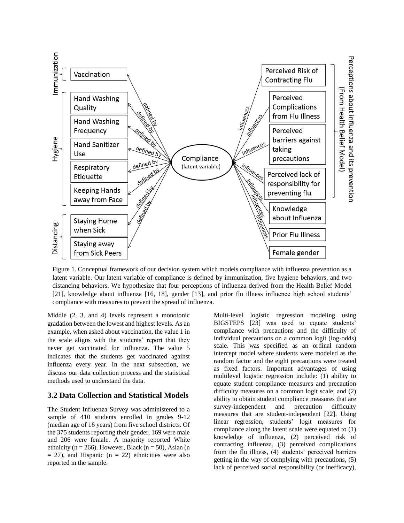

Figure 1. Conceptual framework of our decision system which models compliance with influenza prevention as a latent variable. Our latent variable of compliance is defined by immunization, five hygiene behaviors, and two distancing behaviors. We hypothesize that four perceptions of influenza derived from the Health Belief Model [21], knowledge about influenza [16, 18], gender [13], and prior flu illness influence high school students' compliance with measures to prevent the spread of influenza.

Middle (2, 3, and 4) levels represent a monotonic gradation between the lowest and highest levels. As an example, when asked about vaccination, the value 1 in the scale aligns with the students' report that they never get vaccinated for influenza. The value 5 indicates that the students get vaccinated against influenza every year. In the next subsection, we discuss our data collection process and the statistical methods used to understand the data.

#### **3.2 Data Collection and Statistical Models**

The Student Influenza Survey was administered to a sample of 410 students enrolled in grades 9-12 (median age of 16 years) from five school districts. Of the 375 students reporting their gender, 169 were male and 206 were female. A majority reported White ethnicity ( $n = 266$ ). However, Black ( $n = 50$ ), Asian (n  $= 27$ ), and Hispanic (n  $= 22$ ) ethnicities were also reported in the sample.

Multi-level logistic regression modeling using BIGSTEPS [23] was used to equate students' compliance with precautions and the difficulty of individual precautions on a common logit (log-odds) scale. This was specified as an ordinal random intercept model where students were modeled as the random factor and the eight precautions were treated as fixed factors. Important advantages of using multilevel logistic regression include: (1) ability to equate student compliance measures and precaution difficulty measures on a common logit scale; and (2) ability to obtain student compliance measures that are survey-independent and precaution difficulty measures that are student-independent [22]. Using linear regression, students' logit measures for compliance along the latent scale were equated to (1) knowledge of influenza, (2) perceived risk of contracting influenza, (3) perceived complications from the flu illness, (4) students' perceived barriers getting in the way of complying with precautions, (5) lack of perceived social responsibility (or inefficacy),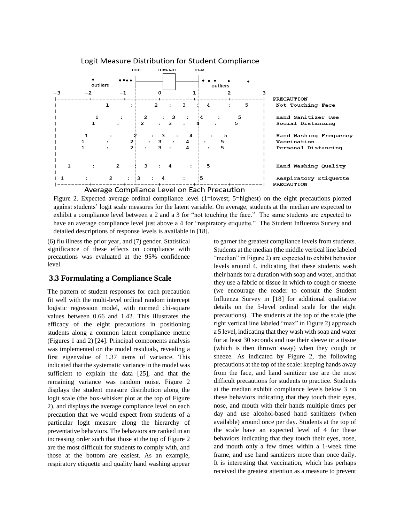

Figure 2. Expected average ordinal compliance level (1=lowest; 5=highest) on the eight precautions plotted against students' logit scale measures for the latent variable. On average, students at the median are expected to exhibit a compliance level between a 2 and a 3 for "not touching the face." The same students are expected to have an average compliance level just above a 4 for "respiratory etiquette." The Student Influenza Survey and detailed descriptions of response levels is available in [18].

(6) flu illness the prior year, and (7) gender. Statistical significance of these effects on compliance with precautions was evaluated at the 95% confidence level.

#### **3.3 Formulating a Compliance Scale**

The pattern of student responses for each precaution fit well with the multi-level ordinal random intercept logistic regression model, with normed chi-square values between 0.66 and 1.42. This illustrates the efficacy of the eight precautions in positioning students along a common latent compliance metric (Figures 1 and 2) [24]. Principal components analysis was implemented on the model residuals, revealing a first eigenvalue of 1.37 items of variance. This indicated that the systematic variance in the model was sufficient to explain the data [25], and that the remaining variance was random noise. Figure 2 displays the student measure distribution along the logit scale (the box-whisker plot at the top of Figure 2), and displays the average compliance level on each precaution that we would expect from students of a particular logit measure along the hierarchy of preventative behaviors. The behaviors are ranked in an increasing order such that those at the top of Figure 2 are the most difficult for students to comply with, and those at the bottom are easiest. As an example, respiratory etiquette and quality hand washing appear to garner the greatest compliance levels from students. Students at the median (the middle vertical line labeled "median" in Figure 2) are expected to exhibit behavior levels around 4, indicating that these students wash their hands for a duration with soap and water, and that they use a fabric or tissue in which to cough or sneeze (we encourage the reader to consult the Student Influenza Survey in [18] for additional qualitative details on the 5-level ordinal scale for the eight precautions). The students at the top of the scale (the right vertical line labeled "max" in Figure 2) approach a 5 level, indicating that they wash with soap and water for at least 30 seconds and use their sleeve or a tissue (which is then thrown away) when they cough or sneeze. As indicated by Figure 2, the following precautions at the top of the scale: keeping hands away from the face, and hand sanitizer use are the most difficult precautions for students to practice. Students at the median exhibit compliance levels below 3 on these behaviors indicating that they touch their eyes, nose, and mouth with their hands multiple times per day and use alcohol-based hand sanitizers (when available) around once per day. Students at the top of the scale have an expected level of 4 for these behaviors indicating that they touch their eyes, nose, and mouth only a few times within a 1-week time frame, and use hand sanitizers more than once daily. It is interesting that vaccination, which has perhaps received the greatest attention as a measure to prevent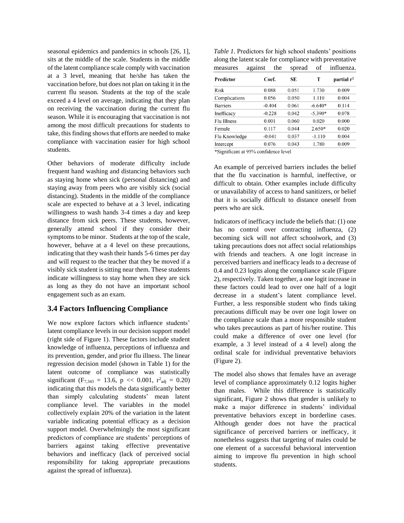seasonal epidemics and pandemics in schools [26, 1], sits at the middle of the scale. Students in the middle of the latent compliance scale comply with vaccination at a 3 level, meaning that he/she has taken the vaccination before, but does not plan on taking it in the current flu season. Students at the top of the scale exceed a 4 level on average, indicating that they plan on receiving the vaccination during the current flu season. While it is encouraging that vaccination is not among the most difficult precautions for students to take, this finding shows that efforts are needed to make compliance with vaccination easier for high school students.

Other behaviors of moderate difficulty include frequent hand washing and distancing behaviors such as staying home when sick (personal distancing) and staying away from peers who are visibly sick (social distancing). Students in the middle of the compliance scale are expected to behave at a 3 level, indicating willingness to wash hands 3-4 times a day and keep distance from sick peers. These students, however, generally attend school if they consider their symptoms to be minor. Students at the top of the scale, however, behave at a 4 level on these precautions, indicating that they wash their hands 5-6 times per day and will request to the teacher that they be moved if a visibly sick student is sitting near them. These students indicate willingness to stay home when they are sick as long as they do not have an important school engagement such as an exam.

#### **3.4 Factors Influencing Compliance**

We now explore factors which influence students' latent compliance levels in our decision support model (right side of Figure 1). These factors include student knowledge of influenza, perceptions of influenza and its prevention, gender, and prior flu illness. The linear regression decision model (shown in Table 1) for the latent outcome of compliance was statistically significant ( $F_{7,343} = 13.6$ , p << 0.001,  $r^2_{\text{adj}} = 0.20$ ) indicating that this models the data significantly better than simply calculating students' mean latent compliance level. The variables in the model collectively explain 20% of the variation in the latent variable indicating potential efficacy as a decision support model. Overwhelmingly the most significant predictors of compliance are students' perceptions of barriers against taking effective preventative behaviors and inefficacy (lack of perceived social responsibility for taking appropriate precautions against the spread of influenza).

*Table 1.* Predictors for high school students' positions along the latent scale for compliance with preventative measures against the spread of influenza.

| Predictor       | Coef.    | SЕ     | T         | partial r <sup>2</sup> |
|-----------------|----------|--------|-----------|------------------------|
| Risk            | 0.088    | 0.051  | 1.730     | 0.009                  |
| Complications   | 0.056    | 0.050  | 1.110     | 0.004                  |
| <b>Barriers</b> | $-0.404$ | 0.061  | $-6.640*$ | 0.114                  |
| Inefficacy      | $-0.228$ | 0.042  | $-5.390*$ | 0.078                  |
| Flu Illness     | 0.001    | 0.060  | 0.020     | 0.000                  |
| Female          | 0.117    | 0.044  | $2.650*$  | 0.020                  |
| Flu Knowledge   | $-0.041$ | 0.037  | $-1.110$  | 0.004                  |
| Intercept       | 0.076    | 0.043  | 1.780     | 0.009                  |
| .               | $-$      | $\sim$ |           |                        |

\*Significant at 95% confidence level

An example of perceived barriers includes the belief that the flu vaccination is harmful, ineffective, or difficult to obtain. Other examples include difficulty or unavailability of access to hand sanitizers, or belief that it is socially difficult to distance oneself from peers who are sick.

Indicators of inefficacy include the beliefs that: (1) one has no control over contracting influenza, (2) becoming sick will not affect schoolwork, and (3) taking precautions does not affect social relationships with friends and teachers. A one logit increase in perceived barriers and inefficacy leads to a decrease of 0.4 and 0.23 logits along the compliance scale (Figure 2), respectively. Taken together, a one logit increase in these factors could lead to over one half of a logit decrease in a student's latent compliance level. Further, a less responsible student who finds taking precautions difficult may be over one logit lower on the compliance scale than a more responsible student who takes precautions as part of his/her routine. This could make a difference of over one level (for example, a 3 level instead of a 4 level) along the ordinal scale for individual preventative behaviors (Figure 2).

The model also shows that females have an average level of compliance approximately 0.12 logits higher than males. While this difference is statistically significant, Figure 2 shows that gender is unlikely to make a major difference in students' individual preventative behaviors except in borderline cases. Although gender does not have the practical significance of perceived barriers or inefficacy, it nonetheless suggests that targeting of males could be one element of a successful behavioral intervention aiming to improve flu prevention in high school students.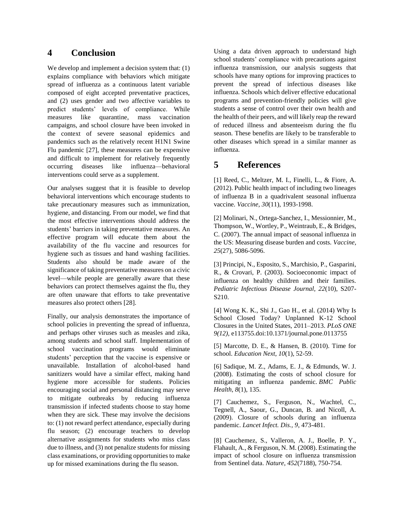## **4 Conclusion**

We develop and implement a decision system that: (1) explains compliance with behaviors which mitigate spread of influenza as a continuous latent variable composed of eight accepted preventative practices, and (2) uses gender and two affective variables to predict students' levels of compliance. While measures like quarantine, mass vaccination campaigns, and school closure have been invoked in the context of severe seasonal epidemics and pandemics such as the relatively recent H1N1 Swine Flu pandemic [27], these measures can be expensive and difficult to implement for relatively frequently occurring diseases like influenza—behavioral interventions could serve as a supplement.

Our analyses suggest that it is feasible to develop behavioral interventions which encourage students to take precautionary measures such as immunization, hygiene, and distancing. From our model, we find that the most effective interventions should address the students' barriers in taking preventative measures. An effective program will educate them about the availability of the flu vaccine and resources for hygiene such as tissues and hand washing facilities. Students also should be made aware of the significance of taking preventative measures on a civic level—while people are generally aware that these behaviors can protect themselves against the flu, they are often unaware that efforts to take preventative measures also protect others [28].

Finally, our analysis demonstrates the importance of school policies in preventing the spread of influenza, and perhaps other viruses such as measles and zika, among students and school staff. Implementation of school vaccination programs would eliminate students' perception that the vaccine is expensive or unavailable. Installation of alcohol-based hand sanitizers would have a similar effect, making hand hygiene more accessible for students. Policies encouraging social and personal distancing may serve to mitigate outbreaks by reducing influenza transmission if infected students choose to stay home when they are sick. These may involve the decisions to: (1) not reward perfect attendance, especially during flu season; (2) encourage teachers to develop alternative assignments for students who miss class due to illness, and (3) not penalize students for missing class examinations, or providing opportunities to make up for missed examinations during the flu season.

Using a data driven approach to understand high school students' compliance with precautions against influenza transmission, our analysis suggests that schools have many options for improving practices to prevent the spread of infectious diseases like influenza. Schools which deliver effective educational programs and prevention-friendly policies will give students a sense of control over their own health and the health of their peers, and will likely reap the reward of reduced illness and absenteeism during the flu season. These benefits are likely to be transferable to other diseases which spread in a similar manner as influenza.

## **5 References**

[1] Reed, C., Meltzer, M. I., Finelli, L., & Fiore, A. (2012). Public health impact of including two lineages of influenza B in a quadrivalent seasonal influenza vaccine. *Vaccine*, *30*(11), 1993-1998.

[2] Molinari, N., Ortega-Sanchez, I., Messionnier, M., Thompson, W., Wortley, P., Weintraub, E., & Bridges, C. (2007). The annual impact of seasonal influenza in the US: Measuring disease burden and costs. *Vaccine, 25*(27), 5086-5096.

[3] Principi, N., Esposito, S., Marchisio, P., Gasparini, R., & Crovari, P. (2003). Socioeconomic impact of influenza on healthy children and their families. *Pediatric Infectious Disease Journal, 22*(10), S207- S210.

[4] Wong K. K., Shi J., Gao H., et al. (2014) Why Is School Closed Today? Unplanned K-12 School Closures in the United States, 2011–2013. *PLoS ONE 9(12),* e113755.doi:10.1371/journal.pone.0113755

[5] Marcotte, D. E., & Hansen, B. (2010). Time for school. *Education Next*, *10*(1), 52-59.

[6] Sadique, M. Z., Adams, E. J., & Edmunds, W. J. (2008). Estimating the costs of school closure for mitigating an influenza pandemic. *BMC Public Health*, *8*(1), 135.

[7] Cauchemez, S., Ferguson, N., Wachtel, C., Tegnell, A., Saour, G., Duncan, B. and Nicoll, A. (2009). Closure of schools during an influenza pandemic. *Lancet Infect. Dis., 9*, 473-481.

[8] Cauchemez, S., Valleron, A. J., Boelle, P. Y., Flahault, A., & Ferguson, N. M. (2008). Estimating the impact of school closure on influenza transmission from Sentinel data. *Nature*, *452*(7188), 750-754.